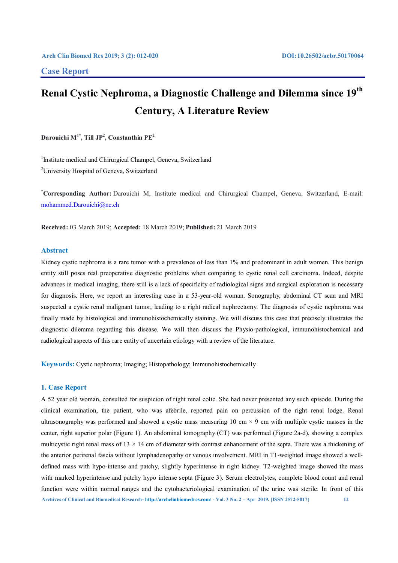# **Case Report**

# **Renal Cystic Nephroma, a Diagnostic Challenge and Dilemma since 19th Century, A Literature Review**

**Darouichi M1\*, Till JP2 , Constanthin PE2**

<sup>1</sup>Institute medical and Chirurgical Champel, Geneva, Switzerland <sup>2</sup>University Hospital of Geneva, Switzerland

**\* Corresponding Author:** Darouichi M, Institute medical and Chirurgical Champel, Geneva, Switzerland, E-mail: mohammed.Darouichi@ne.ch

**Received:** 03 March 2019; **Accepted:** 18 March 2019; **Published:** 21 March 2019

# **Abstract**

Kidney cystic nephroma is a rare tumor with a prevalence of less than 1% and predominant in adult women. This benign entity still poses real preoperative diagnostic problems when comparing to cystic renal cell carcinoma. Indeed, despite advances in medical imaging, there still is a lack of specificity of radiological signs and surgical exploration is necessary for diagnosis. Here, we report an interesting case in a 53-year-old woman. Sonography, abdominal CT scan and MRI suspected a cystic renal malignant tumor, leading to a right radical nephrectomy. The diagnosis of cystic nephroma was finally made by histological and immunohistochemically staining. We will discuss this case that precisely illustrates the diagnostic dilemma regarding this disease. We will then discuss the Physio-pathological, immunohistochemical and radiological aspects of this rare entity of uncertain etiology with a review of the literature.

**Keywords:** Cystic nephroma; Imaging; Histopathology; Immunohistochemically

### **1. Case Report**

**Archives of Clinical and Biomedical Research- http://archclinbiomedres.com/ - Vol. 3 No. 2 – Apr 2019. [ISSN 2572-5017] 12** A 52 year old woman, consulted for suspicion of right renal colic. She had never presented any such episode. During the clinical examination, the patient, who was afebrile, reported pain on percussion of the right renal lodge. Renal ultrasonography was performed and showed a cystic mass measuring  $10 \text{ cm} \times 9 \text{ cm}$  with multiple cystic masses in the center, right superior polar (Figure 1). An abdominal tomography (CT) was performed (Figure 2a-d), showing a complex multicystic right renal mass of  $13 \times 14$  cm of diameter with contrast enhancement of the septa. There was a thickening of the anterior perirenal fascia without lymphadenopathy or venous involvement. MRI in T1-weighted image showed a welldefined mass with hypo-intense and patchy, slightly hyperintense in right kidney. T2-weighted image showed the mass with marked hyperintense and patchy hypo intense septa (Figure 3). Serum electrolytes, complete blood count and renal function were within normal ranges and the cytobacteriological examination of the urine was sterile. In front of this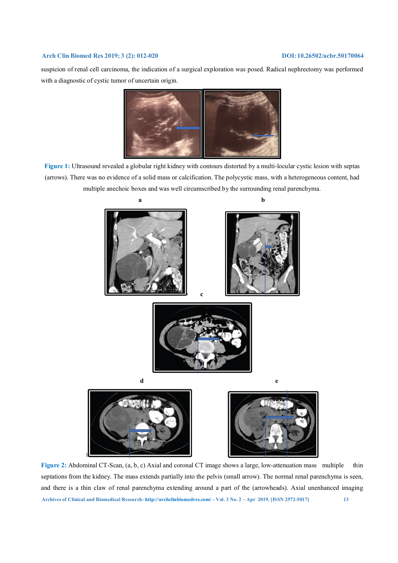suspicion of renal cell carcinoma, the indication of a surgical exploration was posed. Radical nephrectomy was performed with a diagnostic of cystic tumor of uncertain origin.



**Figure 1:** Ultrasound revealed a globular right kidney with contours distorted by a multi-locular cystic lesion with septas (arrows). There was no evidence of a solid mass or calcification. The polycystic mass, with a heterogeneous content, had multiple anechoic boxes and was well circumscribed by the surrounding renal parenchyma.



**Archives of Clinical and Biomedical Research- http://archclinbiomedres.com/ - Vol. 3 No. 2 – Apr 2019. [ISSN 2572-5017] 13 Figure 2:** Abdominal CT-Scan, (a, b, c) Axial and coronal CT image shows a large, low-attenuation mass multiple thin septations from the kidney. The mass extends partially into the pelvis (small arrow). The normal renal parenchyma is seen, and there is a thin claw of renal parenchyma extending around a part of the (arrowheads). Axial unenhanced imaging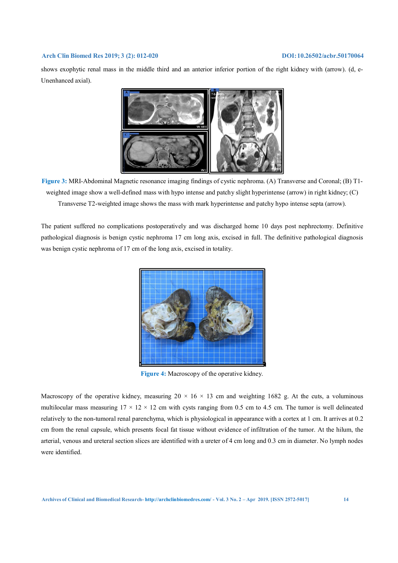shows exophytic renal mass in the middle third and an anterior inferior portion of the right kidney with (arrow). (d, e-Unenhanced axial).



**Figure 3:** MRI-Abdominal Magnetic resonance imaging findings of cystic nephroma. (A) Transverse and Coronal; (B) T1 weighted image show a well-defined mass with hypo intense and patchy slight hyperintense (arrow) in right kidney; (C) Transverse T2-weighted image shows the mass with mark hyperintense and patchy hypo intense septa (arrow).

The patient suffered no complications postoperatively and was discharged home 10 days post nephrectomy. Definitive pathological diagnosis is benign cystic nephroma 17 cm long axis, excised in full. The definitive pathological diagnosis was benign cystic nephroma of 17 cm of the long axis, excised in totality.



**Figure 4:** Macroscopy of the operative kidney.

Macroscopy of the operative kidney, measuring  $20 \times 16 \times 13$  cm and weighting 1682 g. At the cuts, a voluminous multilocular mass measuring  $17 \times 12 \times 12$  cm with cysts ranging from 0.5 cm to 4.5 cm. The tumor is well delineated relatively to the non-tumoral renal parenchyma, which is physiological in appearance with a cortex at 1 cm. It arrives at 0.2 cm from the renal capsule, which presents focal fat tissue without evidence of infiltration of the tumor. At the hilum, the arterial, venous and ureteral section slices are identified with a ureter of 4 cm long and 0.3 cm in diameter. No lymph nodes were identified.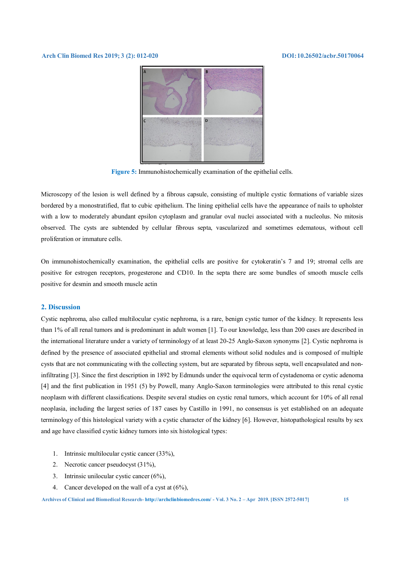

**Figure 5:** Immunohistochemically examination of the epithelial cells.

Microscopy of the lesion is well defined by a fibrous capsule, consisting of multiple cystic formations of variable sizes bordered by a monostratified, flat to cubic epithelium. The lining epithelial cells have the appearance of nails to upholster with a low to moderately abundant epsilon cytoplasm and granular oval nuclei associated with a nucleolus. No mitosis observed. The cysts are subtended by cellular fibrous septa, vascularized and sometimes edematous, without cell proliferation or immature cells.

On immunohistochemically examination, the epithelial cells are positive for cytokeratin's 7 and 19; stromal cells are positive for estrogen receptors, progesterone and CD10. In the septa there are some bundles of smooth muscle cells positive for desmin and smooth muscle actin

# **2. Discussion**

Cystic nephroma, also called multilocular cystic nephroma, is a rare, benign cystic tumor of the kidney. It represents less than 1% of all renal tumors and is predominant in adult women [1]. To our knowledge, less than 200 cases are described in the international literature under a variety of terminology of at least 20-25 Anglo-Saxon synonyms [2]. Cystic nephroma is defined by the presence of associated epithelial and stromal elements without solid nodules and is composed of multiple cysts that are not communicating with the collecting system, but are separated by fibrous septa, well encapsulated and noninfiltrating [3]. Since the first description in 1892 by Edmunds under the equivocal term of cystadenoma or cystic adenoma [4] and the first publication in 1951 (5) by Powell, many Anglo-Saxon terminologies were attributed to this renal cystic neoplasm with different classifications. Despite several studies on cystic renal tumors, which account for 10% of all renal neoplasia, including the largest series of 187 cases by Castillo in 1991, no consensus is yet established on an adequate terminology of this histological variety with a cystic character of the kidney [6]. However, histopathological results by sex and age have classified cystic kidney tumors into six histological types:

- 1. Intrinsic multilocular cystic cancer (33%),
- 2. Necrotic cancer pseudocyst (31%),
- 3. Intrinsic unilocular cystic cancer (6%),
- 4. Cancer developed on the wall of a cyst at (6%),

**Archives of Clinical and Biomedical Research- http://archclinbiomedres.com/ - Vol. 3 No. 2 – Apr 2019. [ISSN 2572-5017] 15**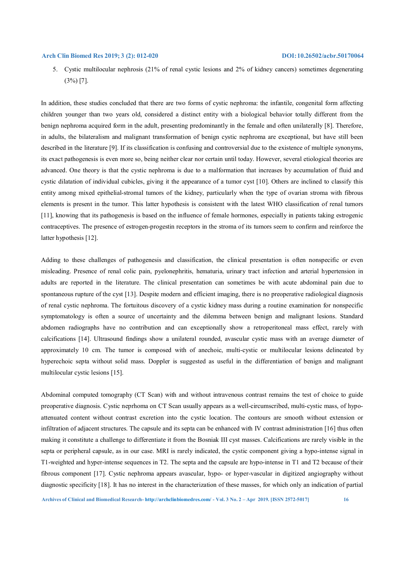5. Cystic multilocular nephrosis (21% of renal cystic lesions and 2% of kidney cancers) sometimes degenerating (3%) [7].

In addition, these studies concluded that there are two forms of cystic nephroma: the infantile, congenital form affecting children younger than two years old, considered a distinct entity with a biological behavior totally different from the benign nephroma acquired form in the adult, presenting predominantly in the female and often unilaterally [8]. Therefore, in adults, the bilateralism and malignant transformation of benign cystic nephroma are exceptional, but have still been described in the literature [9]. If its classification is confusing and controversial due to the existence of multiple synonyms, its exact pathogenesis is even more so, being neither clear nor certain until today. However, several etiological theories are advanced. One theory is that the cystic nephroma is due to a malformation that increases by accumulation of fluid and cystic dilatation of individual cubicles, giving it the appearance of a tumor cyst [10]. Others are inclined to classify this entity among mixed epithelial-stromal tumors of the kidney, particularly when the type of ovarian stroma with fibrous elements is present in the tumor. This latter hypothesis is consistent with the latest WHO classification of renal tumors [11], knowing that its pathogenesis is based on the influence of female hormones, especially in patients taking estrogenic contraceptives. The presence of estrogen-progestin receptors in the stroma of its tumors seem to confirm and reinforce the latter hypothesis [12].

Adding to these challenges of pathogenesis and classification, the clinical presentation is often nonspecific or even misleading. Presence of renal colic pain, pyelonephritis, hematuria, urinary tract infection and arterial hypertension in adults are reported in the literature. The clinical presentation can sometimes be with acute abdominal pain due to spontaneous rupture of the cyst [13]. Despite modern and efficient imaging, there is no preoperative radiological diagnosis of renal cystic nephroma. The fortuitous discovery of a cystic kidney mass during a routine examination for nonspecific symptomatology is often a source of uncertainty and the dilemma between benign and malignant lesions. Standard abdomen radiographs have no contribution and can exceptionally show a retroperitoneal mass effect, rarely with calcifications [14]. Ultrasound findings show a unilateral rounded, avascular cystic mass with an average diameter of approximately 10 cm. The tumor is composed with of anechoic, multi-cystic or multilocular lesions delineated by hyperechoic septa without solid mass. Doppler is suggested as useful in the differentiation of benign and malignant multilocular cystic lesions [15].

Abdominal computed tomography (CT Scan) with and without intravenous contrast remains the test of choice to guide preoperative diagnosis. Cystic neprhoma on CT Scan usually appears as a well-circumscribed, multi-cystic mass, of hypoattenuated content without contrast excretion into the cystic location. The contours are smooth without extension or infiltration of adjacent structures. The capsule and its septa can be enhanced with IV contrast administration [16] thus often making it constitute a challenge to differentiate it from the Bosniak III cyst masses. Calcifications are rarely visible in the septa or peripheral capsule, as in our case. MRI is rarely indicated, the cystic component giving a hypo-intense signal in T1-weighted and hyper-intense sequences in T2. The septa and the capsule are hypo-intense in T1 and T2 because of their fibrous component [17]. Cystic nephroma appears avascular, hypo- or hyper-vascular in digitized angiography without diagnostic specificity [18]. It has no interest in the characterization of these masses, for which only an indication of partial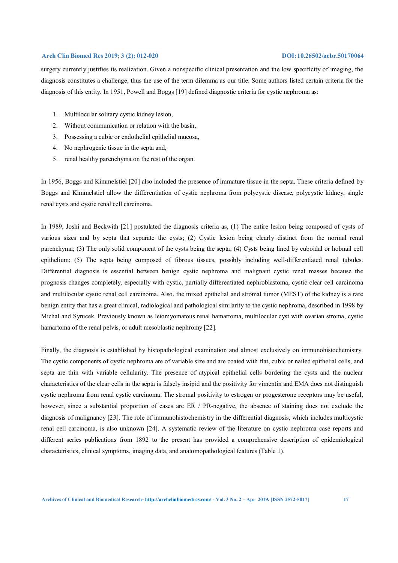surgery currently justifies its realization. Given a nonspecific clinical presentation and the low specificity of imaging, the diagnosis constitutes a challenge, thus the use of the term dilemma as our title. Some authors listed certain criteria for the diagnosis of this entity. In 1951, Powell and Boggs [19] defined diagnostic criteria for cystic nephroma as:

- 1. Multilocular solitary cystic kidney lesion,
- 2. Without communication or relation with the basin,
- 3. Possessing a cubic or endothelial epithelial mucosa,
- 4. No nephrogenic tissue in the septa and,
- 5. renal healthy parenchyma on the rest of the organ.

In 1956, Boggs and Kimmelstiel [20] also included the presence of immature tissue in the septa. These criteria defined by Boggs and Kimmelstiel allow the differentiation of cystic nephroma from polycystic disease, polycystic kidney, single renal cysts and cystic renal cell carcinoma.

In 1989, Joshi and Beckwith [21] postulated the diagnosis criteria as, (1) The entire lesion being composed of cysts of various sizes and by septa that separate the cysts; (2) Cystic lesion being clearly distinct from the normal renal parenchyma; (3) The only solid component of the cysts being the septa; (4) Cysts being lined by cuboidal or hobnail cell epithelium; (5) The septa being composed of fibrous tissues, possibly including well-differentiated renal tubules. Differential diagnosis is essential between benign cystic nephroma and malignant cystic renal masses because the prognosis changes completely, especially with cystic, partially differentiated nephroblastoma, cystic clear cell carcinoma and multilocular cystic renal cell carcinoma. Also, the mixed epithelial and stromal tumor (MEST) of the kidney is a rare benign entity that has a great clinical, radiological and pathological similarity to the cystic nephroma, described in 1998 by Michal and Syrucek. Previously known as leiomyomatous renal hamartoma, multilocular cyst with ovarian stroma, cystic hamartoma of the renal pelvis, or adult mesoblastic nephromy [22].

Finally, the diagnosis is established by histopathological examination and almost exclusively on immunohistochemistry. The cystic components of cystic nephroma are of variable size and are coated with flat, cubic or nailed epithelial cells, and septa are thin with variable cellularity. The presence of atypical epithelial cells bordering the cysts and the nuclear characteristics of the clear cells in the septa is falsely insipid and the positivity for vimentin and EMA does not distinguish cystic nephroma from renal cystic carcinoma. The stromal positivity to estrogen or progesterone receptors may be useful, however, since a substantial proportion of cases are ER / PR-negative, the absence of staining does not exclude the diagnosis of malignancy [23]. The role of immunohistochemistry in the differential diagnosis, which includes multicystic renal cell carcinoma, is also unknown [24]. A systematic review of the literature on cystic nephroma case reports and different series publications from 1892 to the present has provided a comprehensive description of epidemiological characteristics, clinical symptoms, imaging data, and anatomopathological features (Table 1).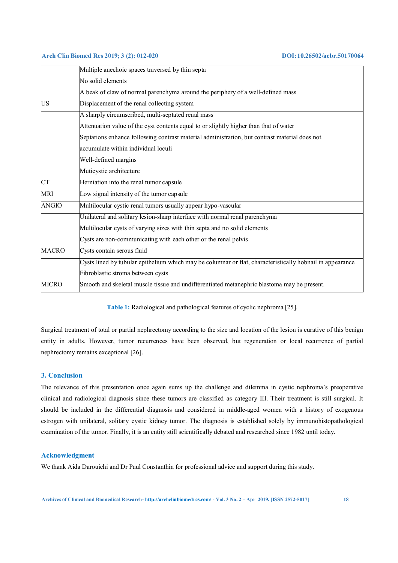|              | Multiple anechoic spaces traversed by thin septa                                                          |
|--------------|-----------------------------------------------------------------------------------------------------------|
|              | No solid elements                                                                                         |
|              | A beak of claw of normal parenchyma around the periphery of a well-defined mass                           |
| <b>US</b>    | Displacement of the renal collecting system                                                               |
|              | A sharply circumscribed, multi-septated renal mass                                                        |
|              | Attenuation value of the cyst contents equal to or slightly higher than that of water                     |
|              | Septations enhance following contrast material administration, but contrast material does not             |
|              | accumulate within individual loculi                                                                       |
|              | Well-defined margins                                                                                      |
|              | Muticystic architecture                                                                                   |
| <b>CT</b>    | Herniation into the renal tumor capsule                                                                   |
| <b>MRI</b>   | Low signal intensity of the tumor capsule                                                                 |
| <b>ANGIO</b> | Multilocular cystic renal tumors usually appear hypo-vascular                                             |
|              | Unilateral and solitary lesion-sharp interface with normal renal parenchyma                               |
|              | Multilocular cysts of varying sizes with thin septa and no solid elements                                 |
|              | Cysts are non-communicating with each other or the renal pelvis                                           |
| <b>MACRO</b> | Cysts contain serous fluid                                                                                |
|              | Cysts lined by tubular epithelium which may be columnar or flat, characteristically hobnail in appearance |
|              | Fibroblastic stroma between cysts                                                                         |
| <b>MICRO</b> | Smooth and skeletal muscle tissue and undifferentiated metanephric blastoma may be present.               |

**Table 1:** Radiological and pathological features of cyclic nephroma [25].

Surgical treatment of total or partial nephrectomy according to the size and location of the lesion is curative of this benign entity in adults. However, tumor recurrences have been observed, but regeneration or local recurrence of partial nephrectomy remains exceptional [26].

# **3. Conclusion**

The relevance of this presentation once again sums up the challenge and dilemma in cystic nephroma's preoperative clinical and radiological diagnosis since these tumors are classified as category III. Their treatment is still surgical. It should be included in the differential diagnosis and considered in middle-aged women with a history of exogenous estrogen with unilateral, solitary cystic kidney tumor. The diagnosis is established solely by immunohistopathological examination of the tumor. Finally, it is an entity still scientifically debated and researched since 1982 until today.

### **Acknowledgment**

We thank Aida Darouichi and Dr Paul Constanthin for professional advice and support during this study.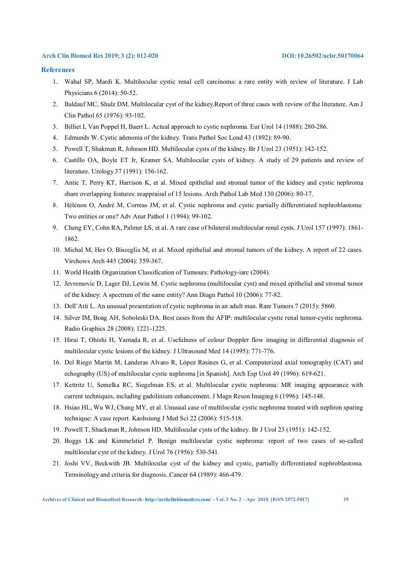## **References**

- 1. Wahal SP, Mardi K. Multilocular cystic renal cell carcinoma: a rare entity with review of literature. J Lab Physicians 6 (2014): 50-52.
- 2. Baldauf MC, Shulz DM. Multilocular cyst of the kidney.Report of three cases with review of the literature. Am J Clin Pathol 65 (1976): 93-102.
- 3. Billiet I, Van Poppel H, Baert L. Actual approach to cystic nephroma. Eur Urol 14 (1988): 280-286.
- 4. Edmunds W. Cystic adenoma of the kidney. Trans Pathol Soc Lond 43 (1892): 89-90.
- 5. Powell T, Shakman R, Johnson HD. Multilocular cysts of the kidney. Br J Urol 23 (1951): 142-152.
- 6. Castillo OA, Boyle ET Jr, Kramer SA. Multilocular cysts of kidney. A study of 29 patients and review of literature. Urology 37 (1991): 156-162.
- 7. Antic T, Perry KT, Harrison K, et al. Mixed epithelial and stromal tumor of the kidney and cystic nephroma share overlapping features: reappraisal of 15 lesions. Arch Pathol Lab Med 130 (2006): 80-17.
- 8. Hélénon O, André M, Correas JM, et al. Cystic nephroma and cystic partially differentiated nephroblastoma: Two entities or one? Adv Anat Pathol 1 (1994): 99-102.
- 9. Cheng EY, Cohn RA, Palmer LS, et al. A rare case of bilateral multilocular renal cysts. J Urol 157 (1997): 1861- 1862.
- 10. Michal M, Hes O, Bisceglia M, et al. Mixed epithelial and stromal tumors of the kidney. A report of 22 cases. Virchows Arch 445 (2004): 359-367.
- 11. World Health Organization Classification of Tumours: Pathology-iarc (2004).
- 12. Jevremovic D, Lager DJ, Lewin M. Cystic nephroma (multilocular cyst) and mixed epithelial and stromal tumor of the kidney: A spectrum of the same entity? Ann Diagn Pathol 10 (2006): 77-82.
- 13. Dell'Atti L. An unusual presentation of cystic nephroma in an adult man. Rare Tumors 7 (2015): 5860.
- 14. Silver IM, Boag AH, Soboleski DA. Best cases from the AFIP: multilocular cystic renal tumor-cystic nephroma. Radio Graphics 28 (2008): 1221-1225.
- 15. Hirai T, Ohishi H, Yamada R, et al. Usefulness of colour Doppler flow imaging in differential diagnosis of multilocular cystic lesions of the kidney. J Ultrasound Med 14 (1995): 771-776.
- 16. Del Riego Martín M, Landeras Alvaro R, López Rasines G, et al. Computerized axial tomography (CAT) and echography (US) of multilocular cystic nephroma [in Spanish]. Arch Esp Urol 49 (1996): 619-621.
- 17. Kettritz U, Semelka RC, Siegelman ES, et al. Multilocular cystic nephroma: MR imaging appearance with current techniques, including gadolinium enhancement. J Magn Reson Imaging 6 (1996): 145-148.
- 18. Hsiao HL, Wu WJ, Chang MY, et al. Unusual case of multilocular cystic nephroma treated with nephron sparing technique: A case report. Kaohsiung J Med Sci 22 (2006): 515-518.
- 19. Powell T, Shackman R, Johnson HD. Multilocular cysts of the kidney. Br J Urol 23 (1951): 142-152.
- 20. Boggs LK and Kimmelstiel P. Benign multilocular cystic nephroma: report of two cases of so-called multilocular cyst of the kidney. J Urol 76 (1956): 530-541.
- 21. Joshi VV, Beckwith JB. Multilocular cyst of the kidney and cystic, partially differentiated nephroblastoma. Terminology and criteria for diagnosis. Cancer 64 (1989): 466-479.